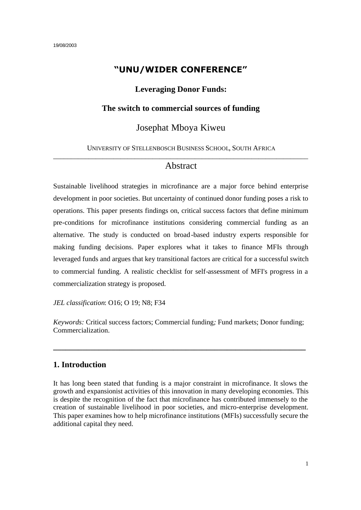#### **"UNU/WIDER CONFERENCE"**

#### **Leveraging Donor Funds:**

#### **The switch to commercial sources of funding**

#### Josephat Mboya Kiweu

#### UNIVERSITY OF STELLENBOSCH BUSINESS SCHOOL, SOUTH AFRICA \_\_\_\_\_\_\_\_\_\_\_\_\_\_\_\_\_\_\_\_\_\_\_\_\_\_\_\_\_\_\_\_\_\_\_\_\_\_\_\_\_\_\_\_\_\_\_\_\_\_\_\_\_\_\_\_\_\_\_\_\_\_\_\_\_\_\_\_\_\_\_\_

#### Abstract

Sustainable livelihood strategies in microfinance are a major force behind enterprise development in poor societies. But uncertainty of continued donor funding poses a risk to operations. This paper presents findings on, critical success factors that define minimum pre-conditions for microfinance institutions considering commercial funding as an alternative. The study is conducted on broad-based industry experts responsible for making funding decisions. Paper explores what it takes to finance MFIs through leveraged funds and argues that key transitional factors are critical for a successful switch to commercial funding. A realistic checklist for self-assessment of MFI's progress in a commercialization strategy is proposed.

*JEL classification*: O16; O 19; N8; F34

*Keywords:* Critical success factors; Commercial funding*;* Fund markets; Donor funding; Commercialization.

**\_\_\_\_\_\_\_\_\_\_\_\_\_\_\_\_\_\_\_\_\_\_\_\_\_\_\_\_\_\_\_\_\_\_\_\_\_\_\_\_\_\_\_\_\_\_\_\_\_\_\_\_\_\_\_\_\_\_\_\_\_**

#### **1. Introduction**

It has long been stated that funding is a major constraint in microfinance. It slows the growth and expansionist activities of this innovation in many developing economies. This is despite the recognition of the fact that microfinance has contributed immensely to the creation of sustainable livelihood in poor societies, and micro-enterprise development. This paper examines how to help microfinance institutions (MFIs) successfully secure the additional capital they need.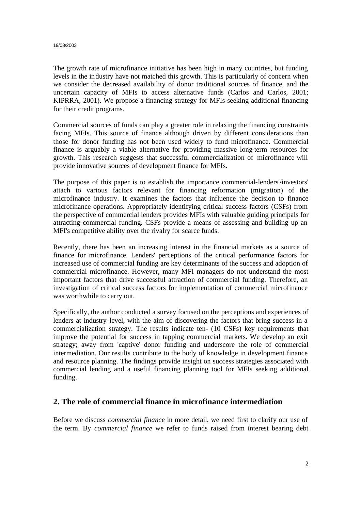The growth rate of microfinance initiative has been high in many countries, but funding levels in the industry have not matched this growth. This is particularly of concern when we consider the decreased availability of donor traditional sources of finance, and the uncertain capacity of MFIs to access alternative funds (Carlos and Carlos, 2001; KIPRRA, 2001). We propose a financing strategy for MFIs seeking additional financing for their credit programs.

Commercial sources of funds can play a greater role in relaxing the financing constraints facing MFIs. This source of finance although driven by different considerations than those for donor funding has not been used widely to fund microfinance. Commercial finance is arguably a viable alternative for providing massive long-term resources for growth. This research suggests that successful commercialization of microfinance will provide innovative sources of development finance for MFIs.

The purpose of this paper is to establish the importance commercial-lenders'/investors' attach to various factors relevant for financing reformation (migration) of the microfinance industry. It examines the factors that influence the decision to finance microfinance operations. Appropriately identifying critical success factors (CSFs) from the perspective of commercial lenders provides MFIs with valuable guiding principals for attracting commercial funding. CSFs provide a means of assessing and building up an MFI's competitive ability over the rivalry for scarce funds.

Recently, there has been an increasing interest in the financial markets as a source of finance for microfinance. Lenders' perceptions of the critical performance factors for increased use of commercial funding are key determinants of the success and adoption of commercial microfinance. However, many MFI managers do not understand the most important factors that drive successful attraction of commercial funding. Therefore, an investigation of critical success factors for implementation of commercial microfinance was worthwhile to carry out.

Specifically, the author conducted a survey focused on the perceptions and experiences of lenders at industry-level, with the aim of discovering the factors that bring success in a commercialization strategy. The results indicate ten- (10 CSFs) key requirements that improve the potential for success in tapping commercial markets. We develop an exit strategy; away from 'captive' donor funding and underscore the role of commercial intermediation. Our results contribute to the body of knowledge in development finance and resource planning. The findings provide insight on success strategies associated with commercial lending and a useful financing planning tool for MFIs seeking additional funding.

# **2. The role of commercial finance in microfinance intermediation**

Before we discuss *commercial finance* in more detail, we need first to clarify our use of the term. By *commercial finance* we refer to funds raised from interest bearing debt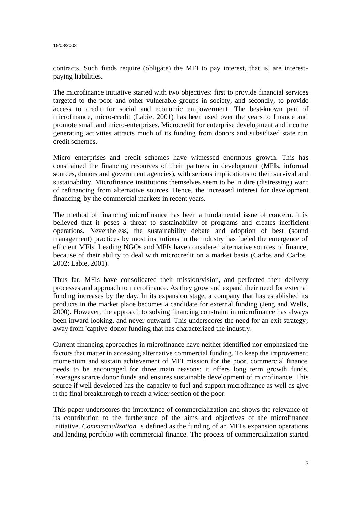contracts. Such funds require (obligate) the MFI to pay interest, that is, are interestpaying liabilities.

The microfinance initiative started with two objectives: first to provide financial services targeted to the poor and other vulnerable groups in society, and secondly, to provide access to credit for social and economic empowerment. The best-known part of microfinance, micro-credit (Labie, 2001) has been used over the years to finance and promote small and micro-enterprises. Microcredit for enterprise development and income generating activities attracts much of its funding from donors and subsidized state run credit schemes.

Micro enterprises and credit schemes have witnessed enormous growth. This has constrained the financing resources of their partners in development (MFIs, informal sources, donors and government agencies), with serious implications to their survival and sustainability. Microfinance institutions themselves seem to be in dire (distressing) want of refinancing from alternative sources. Hence, the increased interest for development financing, by the commercial markets in recent years.

The method of financing microfinance has been a fundamental issue of concern. It is believed that it poses a threat to sustainability of programs and creates inefficient operations. Nevertheless, the sustainability debate and adoption of best (sound management) practices by most institutions in the industry has fueled the emergence of efficient MFIs. Leading NGOs and MFIs have considered alternative sources of finance, because of their ability to deal with microcredit on a market basis (Carlos and Carlos, 2002; Labie, 2001).

Thus far, MFIs have consolidated their mission/vision, and perfected their delivery processes and approach to microfinance. As they grow and expand their need for external funding increases by the day. In its expansion stage, a company that has established its products in the market place becomes a candidate for external funding (Jeng and Wells, 2000). However, the approach to solving financing constraint in microfinance has always been inward looking, and never outward. This underscores the need for an exit strategy; away from 'captive' donor funding that has characterized the industry.

Current financing approaches in microfinance have neither identified nor emphasized the factors that matter in accessing alternative commercial funding. To keep the improvement momentum and sustain achievement of MFI mission for the poor, commercial finance needs to be encouraged for three main reasons: it offers long term growth funds, leverages scarce donor funds and ensures sustainable development of microfinance. This source if well developed has the capacity to fuel and support microfinance as well as give it the final breakthrough to reach a wider section of the poor.

This paper underscores the importance of commercialization and shows the relevance of its contribution to the furtherance of the aims and objectives of the microfinance initiative. *Commercialization* is defined as the funding of an MFI's expansion operations and lending portfolio with commercial finance. The process of commercialization started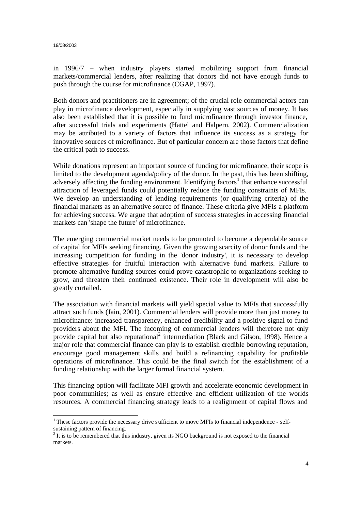in 1996/7 – when industry players started mobilizing support from financial markets/commercial lenders, after realizing that donors did not have enough funds to push through the course for microfinance (CGAP, 1997).

Both donors and practitioners are in agreement; of the crucial role commercial actors can play in microfinance development, especially in supplying vast sources of money. It has also been established that it is possible to fund microfinance through investor finance, after successful trials and experiments (Hattel and Halpern, 2002). Commercialization may be attributed to a variety of factors that influence its success as a strategy for innovative sources of microfinance. But of particular concern are those factors that define the critical path to success.

While donations represent an important source of funding for microfinance, their scope is limited to the development agenda/policy of the donor. In the past, this has been shifting, adversely affecting the funding environment. Identifying factors<sup>1</sup> that enhance successful attraction of leveraged funds could potentially reduce the funding constraints of MFIs. We develop an understanding of lending requirements (or qualifying criteria) of the financial markets as an alternative source of finance. These criteria give MFIs a platform for achieving success. We argue that adoption of success strategies in accessing financial markets can 'shape the future' of microfinance.

The emerging commercial market needs to be promoted to become a dependable source of capital for MFIs seeking financing. Given the growing scarcity of donor funds and the increasing competition for funding in the 'donor industry', it is necessary to develop effective strategies for fruitful interaction with alternative fund markets. Failure to promote alternative funding sources could prove catastrophic to organizations seeking to grow, and threaten their continued existence. Their role in development will also be greatly curtailed.

The association with financial markets will yield special value to MFIs that successfully attract such funds (Jain, 2001). Commercial lenders will provide more than just money to microfinance: increased transparency, enhanced credibility and a positive signal to fund providers about the MFI. The incoming of commercial lenders will therefore not only provide capital but also reputational<sup>2</sup> intermediation (Black and Gilson, 1998). Hence a major role that commercial finance can play is to establish credible borrowing reputation, encourage good management skills and build a refinancing capability for profitable operations of microfinance. This could be the final switch for the establishment of a funding relationship with the larger formal financial system.

This financing option will facilitate MFI growth and accelerate economic development in poor communities; as well as ensure effective and efficient utilization of the worlds resources. A commercial financing strategy leads to a realignment of capital flows and

 $\overline{a}$  $1$ <sup>1</sup> These factors provide the necessary drive sufficient to move MFIs to financial independence - selfsustaining pattern of financing.

 $2<sup>2</sup>$  It is to be remembered that this industry, given its NGO background is not exposed to the financial markets.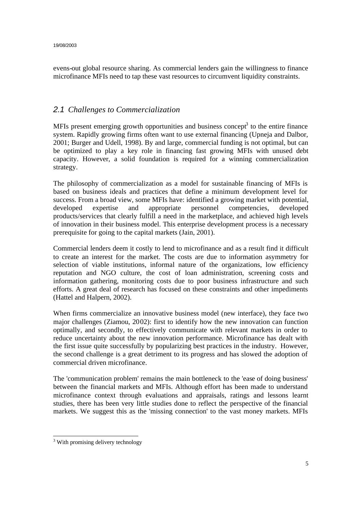evens-out global resource sharing. As commercial lenders gain the willingness to finance microfinance MFIs need to tap these vast resources to circumvent liquidity constraints.

### *2.1 Challenges to Commercialization*

MFIs present emerging growth opportunities and business concept<sup>3</sup> to the entire finance system. Rapidly growing firms often want to use external financing (Upneja and Dalbor, 2001; Burger and Udell, 1998). By and large, commercial funding is not optimal, but can be optimized to play a key role in financing fast growing MFIs with unused debt capacity. However, a solid foundation is required for a winning commercialization strategy.

The philosophy of commercialization as a model for sustainable financing of MFIs is based on business ideals and practices that define a minimum development level for success. From a broad view, some MFIs have: identified a growing market with potential, developed expertise and appropriate personnel competencies, developed products/services that clearly fulfill a need in the marketplace, and achieved high levels of innovation in their business model. This enterprise development process is a necessary prerequisite for going to the capital markets (Jain, 2001).

Commercial lenders deem it costly to lend to microfinance and as a result find it difficult to create an interest for the market. The costs are due to information asymmetry for selection of viable institutions, informal nature of the organizations, low efficiency reputation and NGO culture, the cost of loan administration, screening costs and information gathering, monitoring costs due to poor business infrastructure and such efforts. A great deal of research has focused on these constraints and other impediments (Hattel and Halpern, 2002).

When firms commercialize an innovative business model (new interface), they face two major challenges (Ziamou, 2002): first to identify how the new innovation can function optimally, and secondly, to effectively communicate with relevant markets in order to reduce uncertainty about the new innovation performance. Microfinance has dealt with the first issue quite successfully by popularizing best practices in the industry. However, the second challenge is a great detriment to its progress and has slowed the adoption of commercial driven microfinance.

The 'communication problem' remains the main bottleneck to the 'ease of doing business' between the financial markets and MFIs. Although effort has been made to understand microfinance context through evaluations and appraisals, ratings and lessons learnt studies, there has been very little studies done to reflect the perspective of the financial markets. We suggest this as the 'missing connection' to the vast money markets. MFIs

 $\overline{a}$ <sup>3</sup> With promising delivery technology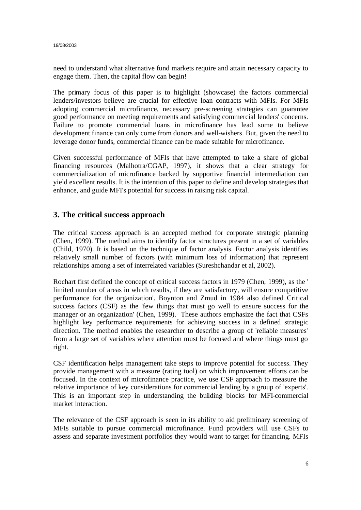need to understand what alternative fund markets require and attain necessary capacity to engage them. Then, the capital flow can begin!

The primary focus of this paper is to highlight (showcase) the factors commercial lenders/investors believe are crucial for effective loan contracts with MFIs. For MFIs adopting commercial microfinance, necessary pre-screening strategies can guarantee good performance on meeting requirements and satisfying commercial lenders' concerns. Failure to promote commercial loans in microfinance has lead some to believe development finance can only come from donors and well-wishers. But, given the need to leverage donor funds, commercial finance can be made suitable for microfinance.

Given successful performance of MFIs that have attempted to take a share of global financing resources (Malhotra/CGAP, 1997), it shows that a clear strategy for commercialization of microfinance backed by supportive financial intermediation can yield excellent results. It is the intention of this paper to define and develop strategies that enhance, and guide MFI's potential for success in raising risk capital.

#### **3. The critical success approach**

The critical success approach is an accepted method for corporate strategic planning (Chen, 1999). The method aims to identify factor structures present in a set of variables (Child, 1970). It is based on the technique of factor analysis. Factor analysis identifies relatively small number of factors (with minimum loss of information) that represent relationships among a set of interrelated variables (Sureshchandar et al, 2002).

Rochart first defined the concept of critical success factors in 1979 (Chen, 1999), as the ' limited number of areas in which results, if they are satisfactory, will ensure competitive performance for the organization'. Boynton and Zmud in 1984 also defined Critical success factors (CSF) as the 'few things that must go well to ensure success for the manager or an organization' (Chen, 1999). These authors emphasize the fact that CSFs highlight key performance requirements for achieving success in a defined strategic direction. The method enables the researcher to describe a group of 'reliable measures' from a large set of variables where attention must be focused and where things must go right.

CSF identification helps management take steps to improve potential for success. They provide management with a measure (rating tool) on which improvement efforts can be focused. In the context of microfinance practice, we use CSF approach to measure the relative importance of key considerations for commercial lending by a group of 'experts'. This is an important step in understanding the building blocks for MFI-commercial market interaction.

The relevance of the CSF approach is seen in its ability to aid preliminary screening of MFIs suitable to pursue commercial microfinance. Fund providers will use CSFs to assess and separate investment portfolios they would want to target for financing. MFIs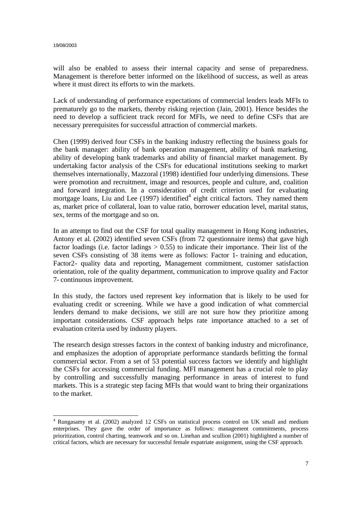will also be enabled to assess their internal capacity and sense of preparedness. Management is therefore better informed on the likelihood of success, as well as areas where it must direct its efforts to win the markets.

Lack of understanding of performance expectations of commercial lenders leads MFIs to prematurely go to the markets, thereby risking rejection (Jain, 2001). Hence besides the need to develop a sufficient track record for MFIs, we need to define CSFs that are necessary prerequisites for successful attraction of commercial markets.

Chen (1999) derived four CSFs in the banking industry reflecting the business goals for the bank manager: ability of bank operation management, ability of bank marketing, ability of developing bank trademarks and ability of financial market management. By undertaking factor analysis of the CSFs for educational institutions seeking to market themselves internationally, Mazzoral (1998) identified four underlying dimensions. These were promotion and recruitment, image and resources, people and culture, and, coalition and forward integration. In a consideration of credit criterion used for evaluating mortgage loans, Liu and Lee (1997) identified<sup>4</sup> eight critical factors. They named them as, market price of collateral, loan to value ratio, borrower education level, marital status, sex, terms of the mortgage and so on.

In an attempt to find out the CSF for total quality management in Hong Kong industries, Antony et al. (2002) identified seven CSFs (from 72 questionnaire items) that gave high factor loadings (i.e. factor ladings  $> 0.55$ ) to indicate their importance. Their list of the seven CSFs consisting of 38 items were as follows: Factor 1- training and education, Factor2- quality data and reporting, Management commitment, customer satisfaction orientation, role of the quality department, communication to improve quality and Factor 7- continuous improvement.

In this study, the factors used represent key information that is likely to be used for evaluating credit or screening. While we have a good indication of what commercial lenders demand to make decisions, we still are not sure how they prioritize among important considerations. CSF approach helps rate importance attached to a set of evaluation criteria used by industry players.

The research design stresses factors in the context of banking industry and microfinance, and emphasizes the adoption of appropriate performance standards befitting the formal commercial sector. From a set of 53 potential success factors we identify and highlight the CSFs for accessing commercial funding. MFI management has a crucial role to play by controlling and successfully managing performance in areas of interest to fund markets. This is a strategic step facing MFIs that would want to bring their organizations to the market.

 $\overline{a}$ <sup>4</sup> Rungasamy et al. (2002) analyzed 12 CSFs on statistical process control on UK small and medium enterprises. They gave the order of importance as follows: management commitments, process prioritization, control charting, teamwork and so on. Linehan and scullion (2001) highlighted a number of critical factors, which are necessary for successful female expatriate assignment, using the CSF approach.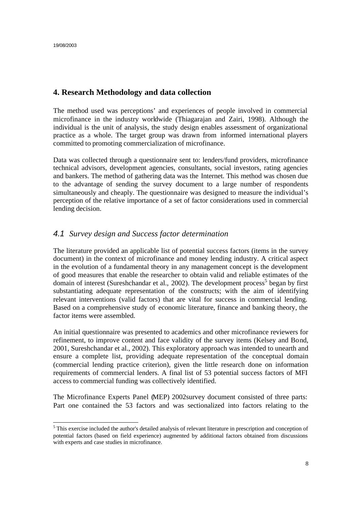### **4. Research Methodology and data collection**

The method used was perceptions' and experiences of people involved in commercial microfinance in the industry worldwide (Thiagarajan and Zairi, 1998). Although the individual is the unit of analysis, the study design enables assessment of organizational practice as a whole. The target group was drawn from informed international players committed to promoting commercialization of microfinance.

Data was collected through a questionnaire sent to: lenders/fund providers, microfinance technical advisors, development agencies, consultants, social investors, rating agencies and bankers. The method of gathering data was the Internet. This method was chosen due to the advantage of sending the survey document to a large number of respondents simultaneously and cheaply. The questionnaire was designed to measure the individual's perception of the relative importance of a set of factor considerations used in commercial lending decision.

#### *4.1 Survey design and Success factor determination*

The literature provided an applicable list of potential success factors (items in the survey document) in the context of microfinance and money lending industry. A critical aspect in the evolution of a fundamental theory in any management concept is the development of good measures that enable the researcher to obtain valid and reliable estimates of the domain of interest (Sureshchandar et al., 2002). The development process<sup>5</sup> began by first substantiating adequate representation of the constructs; with the aim of identifying relevant interventions (valid factors) that are vital for success in commercial lending. Based on a comprehensive study of economic literature, finance and banking theory, the factor items were assembled.

An initial questionnaire was presented to academics and other microfinance reviewers for refinement, to improve content and face validity of the survey items (Kelsey and Bond, 2001, Sureshchandar et al., 2002). This exploratory approach was intended to unearth and ensure a complete list, providing adequate representation of the conceptual domain (commercial lending practice criterion), given the little research done on information requirements of commercial lenders. A final list of 53 potential success factors of MFI access to commercial funding was collectively identified.

The Microfinance Experts Panel (MEP) 2002survey document consisted of three parts: Part one contained the 53 factors and was sectionalized into factors relating to the

 $\overline{a}$ <sup>5</sup> This exercise included the author's detailed analysis of relevant literature in prescription and conception of potential factors (based on field experience) augmented by additional factors obtained from discussions with experts and case studies in microfinance.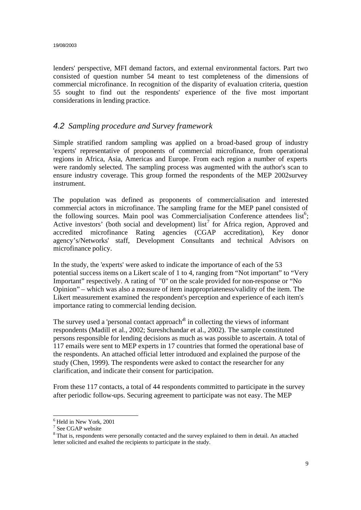lenders' perspective, MFI demand factors, and external environmental factors. Part two consisted of question number 54 meant to test completeness of the dimensions of commercial microfinance. In recognition of the disparity of evaluation criteria, question 55 sought to find out the respondents' experience of the five most important considerations in lending practice.

#### *4.2 Sampling procedure and Survey framework*

Simple stratified random sampling was applied on a broad-based group of industry 'experts' representative of proponents of commercial microfinance, from operational regions in Africa, Asia, Americas and Europe. From each region a number of experts were randomly selected. The sampling process was augmented with the author's scan to ensure industry coverage. This group formed the respondents of the MEP 2002survey instrument.

The population was defined as proponents of commercialisation and interested commercial actors in microfinance. The sampling frame for the MEP panel consisted of the following sources. Main pool was Commercialisation Conference attendees  $list^6$ ; Active investors' (both social and development) list<sup>7</sup> for Africa region, Approved and accredited microfinance Rating agencies (CGAP accreditation), Key donor agency's/Networks' staff, Development Consultants and technical Advisors on microfinance policy.

In the study, the 'experts' were asked to indicate the importance of each of the 53 potential success items on a Likert scale of 1 to 4, ranging from "Not important" to "Very Important" respectively. A rating of "0" on the scale provided for non-response or "No Opinion" – which was also a measure of item inappropriateness/validity of the item. The Likert measurement examined the respondent's perception and experience of each item's importance rating to commercial lending decision.

The survey used a 'personal contact approach<sup>8</sup> in collecting the views of informant respondents (Madill et al., 2002; Sureshchandar et al., 2002). The sample constituted persons responsible for lending decisions as much as was possible to ascertain. A total of 117 emails were sent to MEP experts in 17 countries that formed the operational base of the respondents. An attached official letter introduced and explained the purpose of the study (Chen, 1999). The respondents were asked to contact the researcher for any clarification, and indicate their consent for participation.

From these 117 contacts, a total of 44 respondents committed to participate in the survey after periodic follow-ups. Securing agreement to participate was not easy. The MEP

 $\overline{\phantom{a}}$ 

<sup>&</sup>lt;sup>6</sup> Held in New York, 2001

<sup>7</sup> See CGAP website

<sup>&</sup>lt;sup>8</sup> That is, respondents were personally contacted and the survey explained to them in detail. An attached letter solicited and exalted the recipients to participate in the study.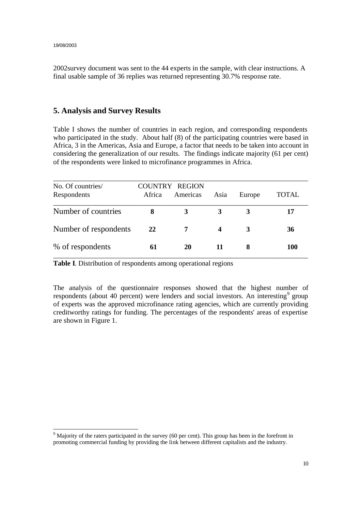2002survey document was sent to the 44 experts in the sample, with clear instructions. A final usable sample of 36 replies was returned representing 30.7% response rate.

#### **5. Analysis and Survey Results**

Table I shows the number of countries in each region, and corresponding respondents who participated in the study. About half (8) of the participating countries were based in Africa, 3 in the Americas, Asia and Europe, a factor that needs to be taken into account in considering the generalization of our results. The findings indicate majority (61 per cent) of the respondents were linked to microfinance programmes in Africa.

| No. Of countries/     |        | <b>COUNTRY REGION</b> |      |        |       |
|-----------------------|--------|-----------------------|------|--------|-------|
| Respondents           | Africa | Americas              | Asia | Europe | TOTAL |
| Number of countries   | 8      | 3                     | 3    | 3      | 17    |
| Number of respondents | 22     | 7                     | 4    | 3      | 36    |
| % of respondents      | 61     | 20                    |      | 8      | 100   |

**Table I**. Distribution of respondents among operational regions

The analysis of the questionnaire responses showed that the highest number of respondents (about 40 percent) were lenders and social investors. An interesting<sup>9</sup> group of experts was the approved microfinance rating agencies, which are currently providing creditworthy ratings for funding. The percentages of the respondents' areas of expertise are shown in Figure 1.

 <sup>9</sup> Majority of the raters participated in the survey (60 per cent). This group has been in the forefront in promoting commercial funding by providing the link between different capitalists and the industry.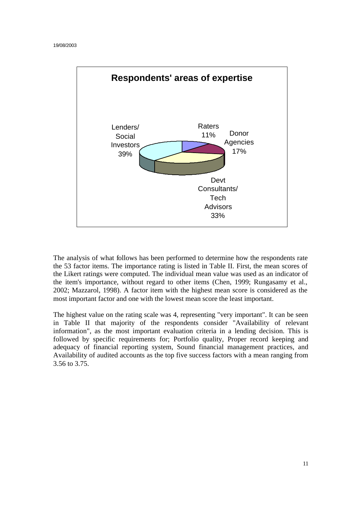

The analysis of what follows has been performed to determine how the respondents rate the 53 factor items. The importance rating is listed in Table II. First, the mean scores of the Likert ratings were computed. The individual mean value was used as an indicator of the item's importance, without regard to other items (Chen, 1999; Rungasamy et al., 2002; Mazzarol, 1998). A factor item with the highest mean score is considered as the most important factor and one with the lowest mean score the least important.

The highest value on the rating scale was 4, representing "very important". It can be seen in Table II that majority of the respondents consider "Availability of relevant information", as the most important evaluation criteria in a lending decision. This is followed by specific requirements for; Portfolio quality, Proper record keeping and adequacy of financial reporting system, Sound financial management practices, and Availability of audited accounts as the top five success factors with a mean ranging from 3.56 to 3.75.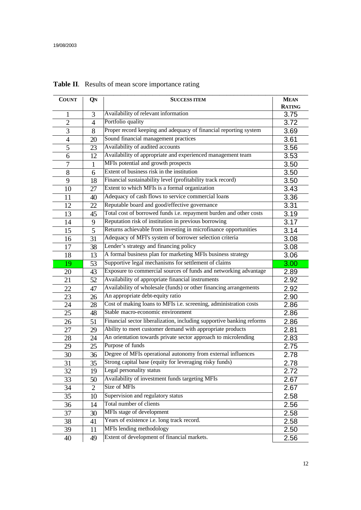| <b>COUNT</b>   | QN             | <b>SUCCESS ITEM</b>                                                   | <b>MEAN</b><br><b>RATING</b> |
|----------------|----------------|-----------------------------------------------------------------------|------------------------------|
| 1              | 3              | Availability of relevant information                                  | 3.75                         |
| $\overline{2}$ | $\overline{4}$ | Portfolio quality                                                     | 3.72                         |
| 3              | 8              | Proper record keeping and adequacy of financial reporting system      | 3.69                         |
| 4              | 20             | Sound financial management practices                                  | 3.61                         |
| 5              | 23             | Availability of audited accounts                                      | 3.56                         |
| 6              | 12             | Availability of appropriate and experienced management team           | 3.53                         |
| 7              | $\mathbf{1}$   | MFIs potential and growth prospects                                   | 3.50                         |
| 8              | 6              | Extent of business risk in the institution                            | 3.50                         |
| 9              | 18             | Financial sustainability level (profitability track record)           | 3.50                         |
| 10             | 27             | Extent to which MFIs is a formal organization                         | 3.43                         |
| 11             | 40             | Adequacy of cash flows to service commercial loans                    | 3.36                         |
| 12             | 22             | Reputable board and good/effective governance                         | 3.31                         |
| 13             | 45             | Total cost of borrowed funds i.e. repayment burden and other costs    | 3.19                         |
| 14             | 9              | Reputation risk of institution in previous borrowing                  | 3.17                         |
| 15             | 5              | Returns achievable from investing in microfinance opportunities       | 3.14                         |
| 16             | 31             | Adequacy of MFI's system of borrower selection criteria               | 3.08                         |
| 17             | 38             | Lender's strategy and financing policy                                | 3.08                         |
| 18             | 13             | A formal business plan for marketing MFIs business strategy           | 3.06                         |
| 19             | 53             | Supportive legal mechanisms for settlement of claims                  | 3.00                         |
| 20             | 43             | Exposure to commercial sources of funds and networking advantage      | 2.89                         |
| 21             | 52             | Availability of appropriate financial instruments                     | 2.92                         |
| 22             | 47             | Availability of wholesale (funds) or other financing arrangements     | 2.92                         |
| 23             | 26             | An appropriate debt-equity ratio                                      | 2.90                         |
| 24             | 28             | Cost of making loans to MFIs i.e. screening, administration costs     | 2.86                         |
| 25             | 48             | Stable macro-economic environment                                     | 2.86                         |
| 26             | 51             | Financial sector liberalization, including supportive banking reforms | 2.86                         |
| 27             | 29             | Ability to meet customer demand with appropriate products             | 2.81                         |
| 28             | 24             | An orientation towards private sector approach to microlending        | 2.83                         |
| 29             | 25             | Purpose of funds                                                      | 2.75                         |
| 30             | 36             | Degree of MFIs operational autonomy from external influences          | 2.78                         |
| 31             | 35             | Strong capital base (equity for leveraging risky funds)               | 2.78                         |
| 32             | 19             | Legal personality status                                              | 2.72                         |
| 33             | 50             | Availability of investment funds targeting MFIs                       | 2.67                         |
| 34             | $\overline{2}$ | Size of MFIs                                                          | 2.67                         |
| 35             | 10             | Supervision and regulatory status                                     | 2.58                         |
| 36             | 14             | Total number of clients                                               | 2.56                         |
| 37             | 30             | MFIs stage of development                                             | 2.58                         |
| 38             | 41             | Years of existence i.e. long track record.                            | 2.58                         |
| 39             | 11             | MFIs lending methodology                                              | 2.50                         |
| 40             | 49             | Extent of development of financial markets.                           | 2.56                         |

# **Table II**. Results of mean score importance rating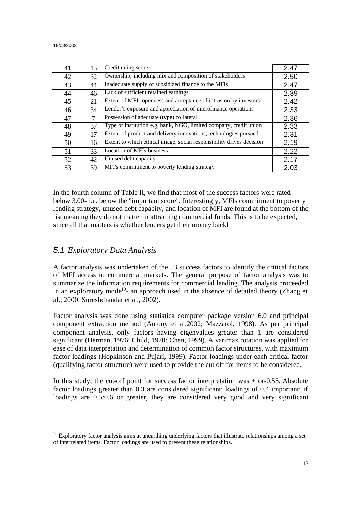| 41 | 15 | Credit rating score                                                  | 2.47 |
|----|----|----------------------------------------------------------------------|------|
| 42 | 32 | Ownership; including mix and composition of stakeholders             | 2.50 |
| 43 | 44 | Inadequate supply of subsidized finance to the MFIs                  | 2.47 |
| 44 | 46 | Lack of sufficient retained earnings                                 | 2.39 |
| 45 | 21 | Extent of MFIs openness and acceptance of intrusion by investors     | 2.42 |
| 46 | 34 | Lender's exposure and appreciation of microfinance operations        | 2.33 |
| 47 |    | Possession of adequate (type) collateral                             | 2.36 |
| 48 | 37 | Type of institution e.g. bank, NGO, limited company, credit union    | 2.33 |
| 49 | 17 | Extent of product and delivery innovations, technologies pursued     | 2.31 |
| 50 | 16 | Extent to which ethical image, social responsibility drives decision | 2.19 |
| 51 | 33 | <b>Location of MFIs business</b>                                     | 2.22 |
| 52 | 42 | Unused debt capacity                                                 | 2.17 |
| 53 | 39 | MFI's commitment to poverty lending strategy                         | 2.03 |

In the fourth column of Table II, we find that most of the success factors were rated below 3.00- i.e. below the "important score". Interestingly, MFIs commitment to poverty lending strategy, unused debt capacity, and location of MFI are found at the bottom of the list meaning they do not matter in attracting commercial funds. This is to be expected, since all that matters is whether lenders get their money back!

# *5.1 Exploratory Data Analysis*

A factor analysis was undertaken of the 53 success factors to identify the critical factors of MFI access to commercial markets. The general purpose of factor analysis was to summarize the information requirements for commercial lending. The analysis proceeded in an exploratory mode<sup>10</sup>- an approach used in the absence of detailed theory (Zhang et al., 2000; Sureshchandar et al., 2002).

Factor analysis was done using statistica computer package version 6.0 and principal component extraction method (Antony et al.2002; Mazzarol, 1998). As per principal component analysis, only factors having eigenvalues greater than 1 are considered significant (Herman, 1976; Child, 1970; Chen, 1999). A varimax rotation was applied for ease of data interpretation and determination of common factor structures, with maximum factor loadings (Hopkinson and Pujari, 1999). Factor loadings under each critical factor (qualifying factor structure) were used to provide the cut off for items to be considered.

In this study, the cut-off point for success factor interpretation was + or-0.55. Absolute factor loadings greater than 0.3 are considered significant; loadings of 0.4 important; if loadings are 0.5/0.6 or greater, they are considered very good and very significant

  $10$  Exploratory factor analysis aims at unearthing underlying factors that illustrate relationships among a set of interrelated items. Factor loadings are used to present these relationships.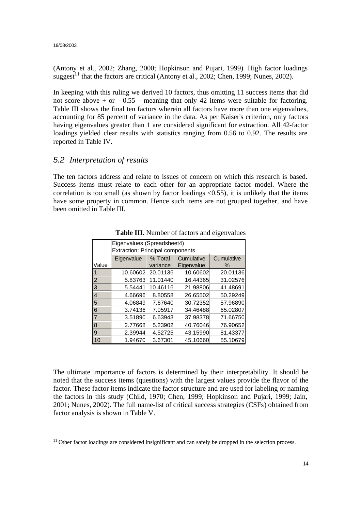(Antony et al., 2002; Zhang, 2000; Hopkinson and Pujari, 1999). High factor loadings suggest<sup>11</sup> that the factors are critical (Antony et al., 2002; Chen, 1999; Nunes, 2002).

In keeping with this ruling we derived 10 factors, thus omitting 11 success items that did not score above  $+$  or  $-0.55$  - meaning that only 42 items were suitable for factoring. Table III shows the final ten factors wherein all factors have more than one eigenvalues, accounting for 85 percent of variance in the data. As per Kaiser's criterion, only factors having eigenvalues greater than 1 are considered significant for extraction. All 42-factor loadings yielded clear results with statistics ranging from 0.56 to 0.92. The results are reported in Table IV.

# *5.2 Interpretation of results*

The ten factors address and relate to issues of concern on which this research is based. Success items must relate to each other for an appropriate factor model. Where the correlation is too small (as shown by factor loadings  $\langle 0.55 \rangle$ , it is unlikely that the items have some property in common. Hence such items are not grouped together, and have been omitted in Table III.

|                | Eigenvalues (Spreadsheet4)              |                                     |            |          |  |  |  |  |  |  |
|----------------|-----------------------------------------|-------------------------------------|------------|----------|--|--|--|--|--|--|
|                | <b>Extraction: Principal components</b> |                                     |            |          |  |  |  |  |  |  |
|                | Eigenvalue                              | Cumulative<br>% Total<br>Cumulative |            |          |  |  |  |  |  |  |
| Value          |                                         | variance                            | Eigenvalue | $\%$     |  |  |  |  |  |  |
|                | 10.60602                                | 20.01136                            | 10.60602   | 20.01136 |  |  |  |  |  |  |
| $\overline{2}$ | 5.83763                                 | 11.01440                            | 16.44365   | 31.02576 |  |  |  |  |  |  |
| $\overline{3}$ | 5.54441                                 | 10.46116                            | 21.98806   | 41.48691 |  |  |  |  |  |  |
| 4              | 4.66696                                 | 8.80558                             | 26.65502   | 50.29249 |  |  |  |  |  |  |
| $\overline{5}$ | 4.06849                                 | 7.67640                             | 30.72352   | 57.96890 |  |  |  |  |  |  |
| 6              | 3.74136                                 | 7.05917                             | 34.46488   | 65.02807 |  |  |  |  |  |  |
| $\overline{7}$ | 3.51890                                 | 6.63943                             | 37.98378   | 71.66750 |  |  |  |  |  |  |
| $\overline{8}$ | 2.77668                                 | 5.23902                             | 40.76046   | 76.90652 |  |  |  |  |  |  |
| $\overline{9}$ | 2.39944                                 | 4.52725                             | 43.15990   | 81.43377 |  |  |  |  |  |  |
| 10             | 1.94670                                 | 3.67301                             | 45.10660   | 85.10679 |  |  |  |  |  |  |

**Table III.** Number of factors and eigenvalues

The ultimate importance of factors is determined by their interpretability. It should be noted that the success items (questions) with the largest values provide the flavor of the factor. These factor items indicate the factor structure and are used for labeling or naming the factors in this study (Child, 1970; Chen, 1999; Hopkinson and Pujari, 1999; Jain, 2001; Nunes, 2002). The full name-list of critical success strategies (CSFs) obtained from factor analysis is shown in Table V.

 $\overline{\phantom{a}}$  $11$  Other factor loadings are considered insignificant and can safely be dropped in the selection process.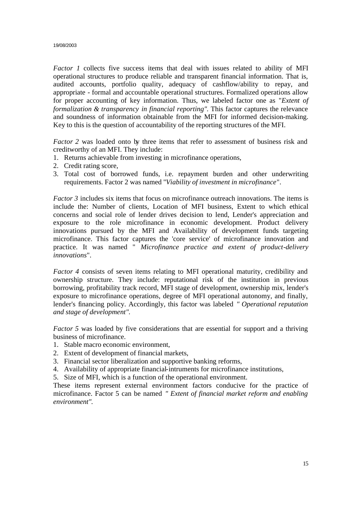*Factor 1* collects five success items that deal with issues related to ability of MFI operational structures to produce reliable and transparent financial information. That is, audited accounts, portfolio quality, adequacy of cashflow/ability to repay, and appropriate - formal and accountable operational structures. Formalized operations allow for proper accounting of key information. Thus, we labeled factor one as "*Extent of formalization & transparency in financial reporting"*. This factor captures the relevance and soundness of information obtainable from the MFI for informed decision-making. Key to this is the question of accountability of the reporting structures of the MFI.

*Factor 2* was loaded onto by three items that refer to assessment of business risk and creditworthy of an MFI. They include:

- 1. Returns achievable from investing in microfinance operations,
- 2. Credit rating score,
- 3. Total cost of borrowed funds, i.e. repayment burden and other underwriting requirements. Factor 2 was named "*Viability of investment in microfinance*".

*Factor 3* includes six items that focus on microfinance outreach innovations. The items is include the: Number of clients, Location of MFI business, Extent to which ethical concerns and social role of lender drives decision to lend, Lender's appreciation and exposure to the role microfinance in economic development. Product delivery innovations pursued by the MFI and Availability of development funds targeting microfinance. This factor captures the 'core service' of microfinance innovation and practice. It was named " *Microfinance practice and extent of product-delivery innovations*".

*Factor 4* consists of seven items relating to MFI operational maturity, credibility and ownership structure. They include: reputational risk of the institution in previous borrowing, profitability track record, MFI stage of development, ownership mix, lender's exposure to microfinance operations, degree of MFI operational autonomy, and finally, lender's financing policy. Accordingly, this factor was labeled *" Operational reputation and stage of development".* 

*Factor 5* was loaded by five considerations that are essential for support and a thriving business of microfinance.

- 1. Stable macro economic environment,
- 2. Extent of development of financial markets,
- 3. Financial sector liberalization and supportive banking reforms,
- 4. Availability of appropriate financial-intruments for microfinance institutions,
- 5. Size of MFI, which is a function of the operational environment.

These items represent external environment factors conducive for the practice of microfinance. Factor 5 can be named *" Extent of financial market reform and enabling environment".*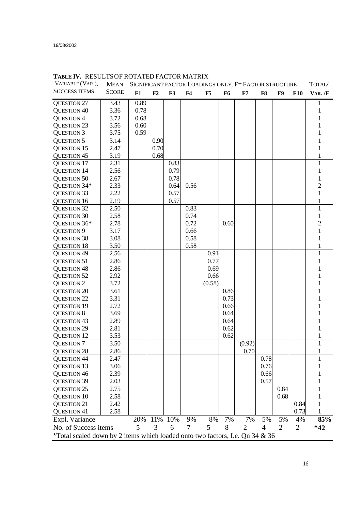| VARIABLE (VAR.),                                                             | <b>MEAN</b>  | SIGNIFICANT FACTOR LOADINGS ONLY, F=FACTOR STRUCTURE |      |      |                |        |                |                | TOTAL/ |                |                |                |
|------------------------------------------------------------------------------|--------------|------------------------------------------------------|------|------|----------------|--------|----------------|----------------|--------|----------------|----------------|----------------|
| <b>SUCCESS ITEMS</b>                                                         | <b>SCORE</b> | F1                                                   | F2   | F3   | F <sub>4</sub> | F5     | F <sub>6</sub> | F7             | F8     | F9             | <b>F10</b>     | VAR./F         |
| <b>QUESTION 27</b>                                                           | 3.43         | 0.89                                                 |      |      |                |        |                |                |        |                |                |                |
| <b>QUESTION 40</b>                                                           | 3.36         | 0.78                                                 |      |      |                |        |                |                |        |                |                |                |
| <b>QUESTION 4</b>                                                            | 3.72         | 0.68                                                 |      |      |                |        |                |                |        |                |                |                |
| <b>QUESTION 23</b>                                                           | 3.56         | 0.60                                                 |      |      |                |        |                |                |        |                |                |                |
| <b>QUESTION 3</b>                                                            | 3.75         | 0.59                                                 |      |      |                |        |                |                |        |                |                |                |
| <b>QUESTION 5</b>                                                            | 3.14         |                                                      | 0.90 |      |                |        |                |                |        |                |                | 1              |
| <b>QUESTION 15</b>                                                           | 2.47         |                                                      | 0.70 |      |                |        |                |                |        |                |                |                |
| <b>QUESTION 45</b>                                                           | 3.19         |                                                      | 0.68 |      |                |        |                |                |        |                |                |                |
| <b>QUESTION 17</b>                                                           | 2.31         |                                                      |      | 0.83 |                |        |                |                |        |                |                | $\mathbf{1}$   |
| <b>QUESTION 14</b>                                                           | 2.56         |                                                      |      | 0.79 |                |        |                |                |        |                |                |                |
| <b>QUESTION 50</b>                                                           | 2.67         |                                                      |      | 0.78 |                |        |                |                |        |                |                |                |
| QUESTION 34*                                                                 | 2.33         |                                                      |      | 0.64 | 0.56           |        |                |                |        |                |                | $\overline{2}$ |
| <b>QUESTION 33</b>                                                           | 2.22         |                                                      |      | 0.57 |                |        |                |                |        |                |                | 1              |
| <b>QUESTION 16</b>                                                           | 2.19         |                                                      |      | 0.57 |                |        |                |                |        |                |                |                |
| <b>QUESTION 32</b>                                                           | 2.50         |                                                      |      |      | 0.83           |        |                |                |        |                |                |                |
| <b>QUESTION 30</b>                                                           | 2.58         |                                                      |      |      | 0.74           |        |                |                |        |                |                | 1              |
| QUESTION 36*                                                                 | 2.78         |                                                      |      |      | 0.72           |        | 0.60           |                |        |                |                | $\overline{c}$ |
| <b>QUESTION 9</b>                                                            | 3.17         |                                                      |      |      | 0.66           |        |                |                |        |                |                | 1              |
| <b>QUESTION 38</b>                                                           | 3.08         |                                                      |      |      | 0.58           |        |                |                |        |                |                | 1              |
| <b>QUESTION 18</b>                                                           | 3.50         |                                                      |      |      | 0.58           |        |                |                |        |                |                | 1              |
| <b>QUESTION 49</b>                                                           | 2.56         |                                                      |      |      |                | 0.91   |                |                |        |                |                | 1              |
| <b>QUESTION 51</b>                                                           | 2.86         |                                                      |      |      |                | 0.77   |                |                |        |                |                |                |
| <b>QUESTION 48</b>                                                           | 2.86         |                                                      |      |      |                | 0.69   |                |                |        |                |                |                |
| <b>QUESTION 52</b>                                                           | 2.92         |                                                      |      |      |                | 0.66   |                |                |        |                |                |                |
| <b>QUESTION 2</b>                                                            | 3.72         |                                                      |      |      |                | (0.58) |                |                |        |                |                |                |
| <b>QUESTION 20</b>                                                           | 3.61         |                                                      |      |      |                |        | 0.86           |                |        |                |                | 1              |
| <b>QUESTION 22</b>                                                           | 3.31         |                                                      |      |      |                |        | 0.73           |                |        |                |                |                |
| <b>QUESTION 19</b>                                                           | 2.72         |                                                      |      |      |                |        | 0.66           |                |        |                |                |                |
| <b>QUESTION 8</b>                                                            | 3.69         |                                                      |      |      |                |        | 0.64           |                |        |                |                |                |
| <b>QUESTION 43</b>                                                           | 2.89         |                                                      |      |      |                |        | 0.64           |                |        |                |                |                |
| <b>QUESTION 29</b>                                                           | 2.81         |                                                      |      |      |                |        | 0.62           |                |        |                |                |                |
| <b>QUESTION 12</b>                                                           | 3.53         |                                                      |      |      |                |        | 0.62           |                |        |                |                |                |
| <b>QUESTION 7</b>                                                            | 3.50         |                                                      |      |      |                |        |                | (0.92)         |        |                |                | 1              |
| <b>QUESTION 28</b>                                                           | 2.86         |                                                      |      |      |                |        |                | 0.70           |        |                |                |                |
| <b>QUESTION 44</b>                                                           | 2.47         |                                                      |      |      |                |        |                |                | 0.78   |                |                | 1              |
| <b>QUESTION 13</b>                                                           | 3.06         |                                                      |      |      |                |        |                |                | 0.76   |                |                |                |
| <b>QUESTION 46</b>                                                           | 2.39         |                                                      |      |      |                |        |                |                | 0.66   |                |                |                |
| <b>QUESTION 39</b>                                                           | 2.03         |                                                      |      |      |                |        |                |                | 0.57   |                |                |                |
| <b>QUESTION 25</b>                                                           | 2.75         |                                                      |      |      |                |        |                |                |        | 0.84           |                |                |
| <b>QUESTION 10</b>                                                           | 2.58         |                                                      |      |      |                |        |                |                |        | 0.68           |                |                |
| <b>QUESTION 21</b>                                                           | 2.42         |                                                      |      |      |                |        |                |                |        |                | 0.84           |                |
| <b>QUESTION 41</b>                                                           | 2.58         |                                                      |      |      |                |        |                |                |        |                | 0.73           |                |
| Expl. Variance                                                               |              | 20%                                                  | 11%  | 10%  | 9%             | 8%     | 7%             | 7%             | 5%     | 5%             | 4%             | 85%            |
| No. of Success items                                                         |              | 5                                                    | 3    | 6    | 7              | 5      | 8              | $\overline{2}$ | 4      | $\overline{2}$ | $\overline{2}$ | $*42$          |
| *Total scaled down by 2 items which loaded onto two factors, I.e. Qn 34 & 36 |              |                                                      |      |      |                |        |                |                |        |                |                |                |

#### **TABLE IV.** RESULTSOF ROTATED FACTOR MATRIX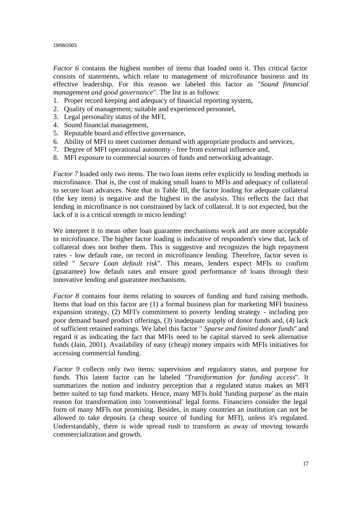*Factor 6* contains the highest number of items that loaded onto it. This critical factor consists of statements, which relate to management of microfinance business and its effective leadership. For this reason we labeled this factor as "*Sound financial management and good governance*". The list is as follows:

- 1. Proper record keeping and adequacy of financial reporting system,
- 2. Quality of management; suitable and experienced personnel,
- 3. Legal personality status of the MFI,
- 4. Sound financial management,
- 5. Reputable board and effective governance,
- 6. Ability of MFI to meet customer demand with appropriate products and services,
- 7. Degree of MFI operational autonomy free from external influence and,
- 8. MFI exposure to commercial sources of funds and networking advantage.

*Factor 7* loaded only two items. The two loan items refer explicitly to lending methods in microfinance. That is, the cost of making small loans to MFIs and adequacy of collateral to secure loan advances. Note that in Table III, the factor loading for adequate collateral (the key item) is negative and the highest in the analysis. This reflects the fact that lending in microfinance is not constrained by lack of collateral. It is not expected, but the lack of it is a critical strength in micro lending!

We interpret it to mean other loan guarantee mechanisms work and are more acceptable in microfinance. The higher factor loading is indicative of respondent's view that, lack of collateral does not bother them. This is suggestive and recognizes the high repayment rates - low default rate, on record in microfinance lending. Therefore, factor seven is titled " *Secure Loan default risk*". This means, lenders expect MFIs to confirm (guarantee) low default rates and ensure good performance of loans through their innovative lending and guarantee mechanisms.

*Factor 8* contains four items relating to sources of funding and fund raising methods. Items that load on this factor are (1) a formal business plan for marketing MFI business expansion strategy, (2) MFI's commitment to poverty lending strategy - including pro poor demand based product offerings, (3) inadequate supply of donor funds and, (4) lack of sufficient retained earnings. We label this factor " *Sparse and limited donor funds*" and regard it as indicating the fact that MFIs need to be capital starved to seek alternative funds (Jain, 2001). Availability of easy (cheap) money impairs with MFIs initiatives for accessing commercial funding.

*Factor 9* collects only two items: supervision and regulatory status, and purpose for funds. This latent factor can be labeled "*Transformation for funding access*". It summarizes the notion and industry perception that a regulated status makes an MFI better suited to tap fund markets. Hence, many MFIs hold 'funding purpose' as the main reason for transformation into 'conventional' legal forms. Financiers consider the legal form of many MFIs not promising. Besides, in many countries an institution can not be allowed to take deposits (a cheap source of funding for MFI), unless it's regulated. Understandably, there is wide spread rush to transform as away of moving towards commercialization and growth.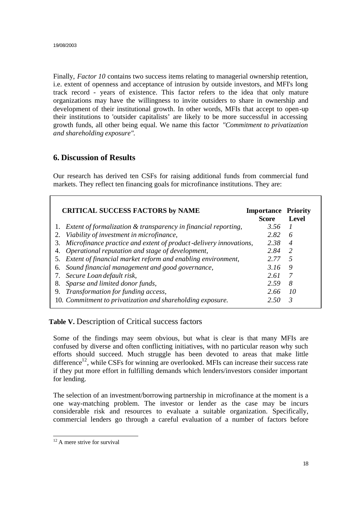Finally, *Factor 10* contains two success items relating to managerial ownership retention, i.e. extent of openness and acceptance of intrusion by outside investors, and MFI's long track record - years of existence. This factor refers to the idea that only mature organizations may have the willingness to invite outsiders to share in ownership and development of their institutional growth. In other words, MFIs that accept to open-up their institutions to 'outsider capitalists' are likely to be more successful in accessing growth funds, all other being equal. We name this factor *"Commitment to privatization and shareholding exposure"*.

# **6. Discussion of Results**

Our research has derived ten CSFs for raising additional funds from commercial fund markets. They reflect ten financing goals for microfinance institutions. They are:

| <b>CRITICAL SUCCESS FACTORS by NAME</b>                              | <b>Importance Priority</b><br><b>Score</b> | Level          |
|----------------------------------------------------------------------|--------------------------------------------|----------------|
| 1. Extent of formalization & transparency in financial reporting,    | 3.56                                       |                |
| 2. Viability of investment in microfinance,                          | 2.82                                       | 6              |
| 3. Microfinance practice and extent of product-delivery innovations, | 2.38                                       | $\overline{4}$ |
| 4. Operational reputation and stage of development,                  | 2.84                                       | -2             |
| 5. Extent of financial market reform and enabling environment,       | 2.77                                       | -5             |
| 6. Sound financial management and good governance,                   | 3.16                                       | 9              |
| 7. Secure Loan default risk,                                         | 2.61                                       | 7              |
| 8. Sparse and limited donor funds,                                   | 2.59                                       | 8              |
| 9. Transformation for funding access,                                | 2.66                                       | -10            |
| 10. Commitment to privatization and shareholding exposure.           | 2.50                                       | 3              |

**Table V.** Description of Critical success factors

Some of the findings may seem obvious, but what is clear is that many MFIs are confused by diverse and often conflicting initiatives, with no particular reason why such efforts should succeed. Much struggle has been devoted to areas that make little difference<sup>12</sup>, while CSFs for winning are overlooked. MFIs can increase their success rate if they put more effort in fulfilling demands which lenders/investors consider important for lending.

The selection of an investment/borrowing partnership in microfinance at the moment is a one way-matching problem. The investor or lender as the case may be incurs considerable risk and resources to evaluate a suitable organization. Specifically, commercial lenders go through a careful evaluation of a number of factors before

 $\overline{\phantom{a}}$  $12$  A mere strive for survival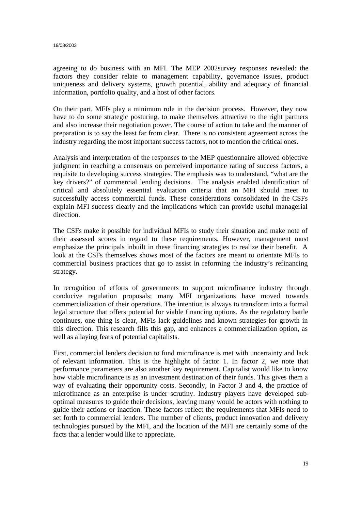agreeing to do business with an MFI. The MEP 2002survey responses revealed: the factors they consider relate to management capability, governance issues, product uniqueness and delivery systems, growth potential, ability and adequacy of financial information, portfolio quality, and a host of other factors.

On their part, MFIs play a minimum role in the decision process. However, they now have to do some strategic posturing, to make themselves attractive to the right partners and also increase their negotiation power. The course of action to take and the manner of preparation is to say the least far from clear. There is no consistent agreement across the industry regarding the most important success factors, not to mention the critical ones.

Analysis and interpretation of the responses to the MEP questionnaire allowed objective judgment in reaching a consensus on perceived importance rating of success factors, a requisite to developing success strategies. The emphasis was to understand, "what are the key drivers?" of commercial lending decisions. The analysis enabled identification of critical and absolutely essential evaluation criteria that an MFI should meet to successfully access commercial funds. These considerations consolidated in the CSFs explain MFI success clearly and the implications which can provide useful managerial direction.

The CSFs make it possible for individual MFIs to study their situation and make note of their assessed scores in regard to these requirements. However, management must emphasize the principals inbuilt in these financing strategies to realize their benefit. A look at the CSFs themselves shows most of the factors are meant to orientate MFIs to commercial business practices that go to assist in reforming the industry's refinancing strategy.

In recognition of efforts of governments to support microfinance industry through conducive regulation proposals; many MFI organizations have moved towards commercialization of their operations. The intention is always to transform into a formal legal structure that offers potential for viable financing options. As the regulatory battle continues, one thing is clear, MFIs lack guidelines and known strategies for growth in this direction. This research fills this gap, and enhances a commercialization option, as well as allaying fears of potential capitalists.

First, commercial lenders decision to fund microfinance is met with uncertainty and lack of relevant information. This is the highlight of factor 1. In factor 2, we note that performance parameters are also another key requirement. Capitalist would like to know how viable microfinance is as an investment destination of their funds. This gives them a way of evaluating their opportunity costs. Secondly, in Factor 3 and 4, the practice of microfinance as an enterprise is under scrutiny. Industry players have developed suboptimal measures to guide their decisions, leaving many would be actors with nothing to guide their actions or inaction. These factors reflect the requirements that MFIs need to set forth to commercial lenders. The number of clients, product innovation and delivery technologies pursued by the MFI, and the location of the MFI are certainly some of the facts that a lender would like to appreciate.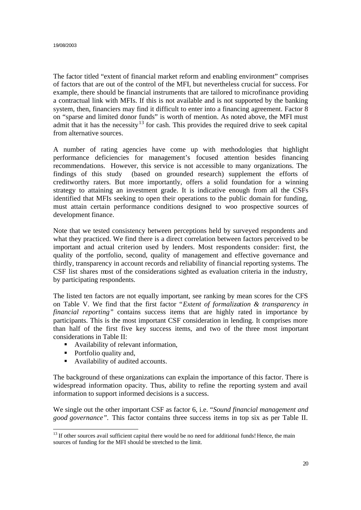The factor titled "extent of financial market reform and enabling environment" comprises of factors that are out of the control of the MFI, but nevertheless crucial for success. For example, there should be financial instruments that are tailored to microfinance providing a contractual link with MFIs. If this is not available and is not supported by the banking system, then, financiers may find it difficult to enter into a financing agreement. Factor 8 on "sparse and limited donor funds" is worth of mention. As noted above, the MFI must admit that it has the necessity<sup>13</sup> for cash. This provides the required drive to seek capital from alternative sources.

A number of rating agencies have come up with methodologies that highlight performance deficiencies for management's focused attention besides financing recommendations. However, this service is not accessible to many organizations. The findings of this study (based on grounded research) supplement the efforts of creditworthy raters. But more importantly, offers a solid foundation for a winning strategy to attaining an investment grade. It is indicative enough from all the CSFs identified that MFIs seeking to open their operations to the public domain for funding, must attain certain performance conditions designed to woo prospective sources of development finance.

Note that we tested consistency between perceptions held by surveyed respondents and what they practiced. We find there is a direct correlation between factors perceived to be important and actual criterion used by lenders. Most respondents consider: first, the quality of the portfolio, second, quality of management and effective governance and thirdly, transparency in account records and reliability of financial reporting systems. The CSF list shares most of the considerations sighted as evaluation criteria in the industry, by participating respondents.

The listed ten factors are not equally important, see ranking by mean scores for the CFS on Table V. We find that the first factor "*Extent of formalization & transparency in financial reporting"* contains success items that are highly rated in importance by participants. This is the most important CSF consideration in lending. It comprises more than half of the first five key success items, and two of the three most important considerations in Table II:

- **•** Availability of relevant information,
- Portfolio quality and,
- Availability of audited accounts.

The background of these organizations can explain the importance of this factor. There is widespread information opacity. Thus, ability to refine the reporting system and avail information to support informed decisions is a success.

We single out the other important CSF as factor 6, i.e. "*Sound financial management and good governance".* This factor contains three success items in top six as per Table II.

 <sup>13</sup> If other sources avail sufficient capital there would be no need for additional funds! Hence, the main sources of funding for the MFI should be stretched to the limit.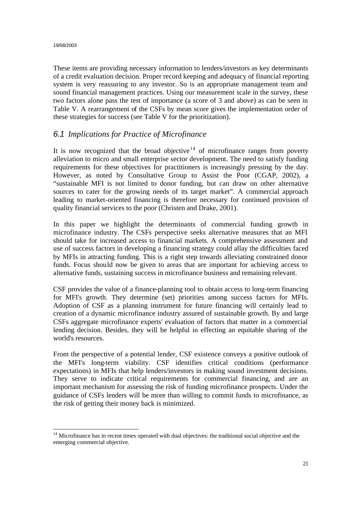These items are providing necessary information to lenders/investors as key determinants of a credit evaluation decision. Proper record keeping and adequacy of financial reporting system is very reassuring to any investor. So is an appropriate management team and sound financial management practices. Using our measurement scale in the survey, these two factors alone pass the test of importance (a score of 3 and above) as can be seen in Table V. A rearrangement of the CSFs by mean score gives the implementation order of these strategies for success (see Table V for the prioritization).

# *6.1 Implications for Practice of Microfinance*

It is now recognized that the broad objective<sup>14</sup> of microfinance ranges from poverty alleviation to micro and small enterprise sector development. The need to satisfy funding requirements for these objectives for practitioners is increasingly pressing by the day. However, as noted by Consultative Group to Assist the Poor (CGAP, 2002), a "sustainable MFI is not limited to donor funding, but can draw on other alternative sources to cater for the growing needs of its target market". A commercial approach leading to market-oriented financing is therefore necessary for continued provision of quality financial services to the poor (Christen and Drake, 2001).

In this paper we highlight the determinants of commercial funding growth in microfinance industry. The CSFs perspective seeks alternative measures that an MFI should take for increased access to financial markets. A comprehensive assessment and use of success factors in developing a financing strategy could allay the difficulties faced by MFIs in attracting funding. This is a right step towards alleviating constrained donor funds. Focus should now be given to areas that are important for achieving access to alternative funds, sustaining success in microfinance business and remaining relevant.

CSF provides the value of a finance-planning tool to obtain access to long-term financing for MFI's growth. They determine (set) priorities among success factors for MFIs. Adoption of CSF as a planning instrument for future financing will certainly lead to creation of a dynamic microfinance industry assured of sustainable growth. By and large CSFs aggregate microfinance experts' evaluation of factors that matter in a commercial lending decision. Besides, they will be helpful in effecting an equitable sharing of the world's resources.

From the perspective of a potential lender, CSF existence conveys a positive outlook of the MFI's long-term viability. CSF identifies critical conditions (performance expectations) in MFIs that help lenders/investors in making sound investment decisions. They serve to indicate critical requirements for commercial financing, and are an important mechanism for assessing the risk of funding microfinance prospects. Under the guidance of CSFs lenders will be more than willing to commit funds to microfinance, as the risk of getting their money back is minimized.

 <sup>14</sup> Microfinance has in recent times operated with dual objectives: the traditional social objective and the emerging commercial objective.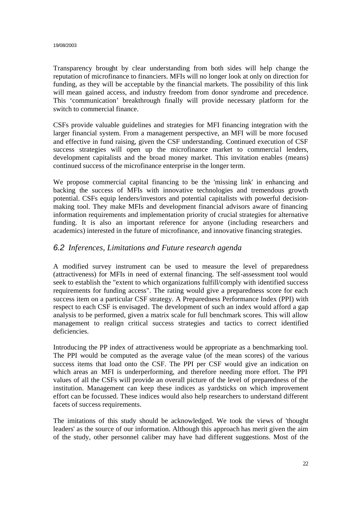Transparency brought by clear understanding from both sides will help change the reputation of microfinance to financiers. MFIs will no longer look at only on direction for funding, as they will be acceptable by the financial markets. The possibility of this link will mean gained access, and industry freedom from donor syndrome and precedence. This 'communication' breakthrough finally will provide necessary platform for the switch to commercial finance.

CSFs provide valuable guidelines and strategies for MFI financing integration with the larger financial system. From a management perspective, an MFI will be more focused and effective in fund raising, given the CSF understanding. Continued execution of CSF success strategies will open up the microfinance market to commercial lenders, development capitalists and the broad money market. This invitation enables (means) continued success of the microfinance enterprise in the longer term.

We propose commercial capital financing to be the 'missing link' in enhancing and backing the success of MFIs with innovative technologies and tremendous growth potential. CSFs equip lenders/investors and potential capitalists with powerful decisionmaking tool. They make MFIs and development financial advisors aware of financing information requirements and implementation priority of crucial strategies for alternative funding. It is also an important reference for anyone (including researchers and academics) interested in the future of microfinance, and innovative financing strategies.

#### *6.2 Inferences, Limitations and Future research agenda*

A modified survey instrument can be used to measure the level of preparedness (attractiveness) for MFIs in need of external financing. The self-assessment tool would seek to establish the "extent to which organizations fulfill/comply with identified success requirements for funding access". The rating would give a preparedness score for each success item on a particular CSF strategy. A Preparedness Performance Index (PPI) with respect to each CSF is envisaged. The development of such an index would afford a gap analysis to be performed, given a matrix scale for full benchmark scores. This will allow management to realign critical success strategies and tactics to correct identified deficiencies.

Introducing the PP index of attractiveness would be appropriate as a benchmarking tool. The PPI would be computed as the average value (of the mean scores) of the various success items that load onto the CSF. The PPI per CSF would give an indication on which areas an MFI is underperforming, and therefore needing more effort. The PPI values of all the CSFs will provide an overall picture of the level of preparedness of the institution. Management can keep these indices as yardsticks on which improvement effort can be focussed. These indices would also help researchers to understand different facets of success requirements.

The imitations of this study should be acknowledged. We took the views of 'thought leaders' as the source of our information. Although this approach has merit given the aim of the study, other personnel caliber may have had different suggestions. Most of the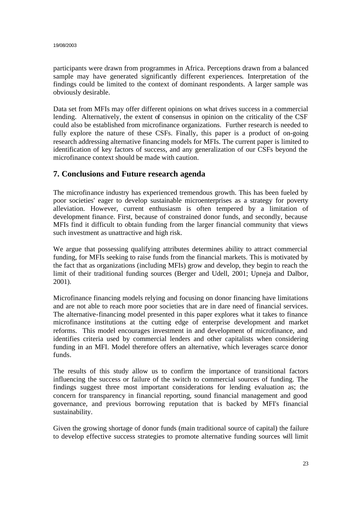participants were drawn from programmes in Africa. Perceptions drawn from a balanced sample may have generated significantly different experiences. Interpretation of the findings could be limited to the context of dominant respondents. A larger sample was obviously desirable.

Data set from MFIs may offer different opinions on what drives success in a commercial lending. Alternatively, the extent of consensus in opinion on the criticality of the CSF could also be established from microfinance organizations. Further research is needed to fully explore the nature of these CSFs. Finally, this paper is a product of on-going research addressing alternative financing models for MFIs. The current paper is limited to identification of key factors of success, and any generalization of our CSFs beyond the microfinance context should be made with caution.

# **7. Conclusions and Future research agenda**

The microfinance industry has experienced tremendous growth. This has been fueled by poor societies' eager to develop sustainable microenterprises as a strategy for poverty alleviation. However, current enthusiasm is often tempered by a limitation of development finance. First, because of constrained donor funds, and secondly, because MFIs find it difficult to obtain funding from the larger financial community that views such investment as unattractive and high risk.

We argue that possessing qualifying attributes determines ability to attract commercial funding, for MFIs seeking to raise funds from the financial markets. This is motivated by the fact that as organizations (including MFIs) grow and develop, they begin to reach the limit of their traditional funding sources (Berger and Udell, 2001; Upneja and Dalbor, 2001).

Microfinance financing models relying and focusing on donor financing have limitations and are not able to reach more poor societies that are in dare need of financial services. The alternative-financing model presented in this paper explores what it takes to finance microfinance institutions at the cutting edge of enterprise development and market reforms. This model encourages investment in and development of microfinance, and identifies criteria used by commercial lenders and other capitalists when considering funding in an MFI. Model therefore offers an alternative, which leverages scarce donor funds.

The results of this study allow us to confirm the importance of transitional factors influencing the success or failure of the switch to commercial sources of funding. The findings suggest three most important considerations for lending evaluation as; the concern for transparency in financial reporting, sound financial management and good governance, and previous borrowing reputation that is backed by MFI's financial sustainability.

Given the growing shortage of donor funds (main traditional source of capital) the failure to develop effective success strategies to promote alternative funding sources will limit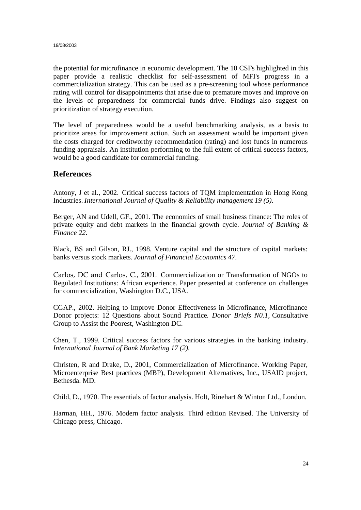the potential for microfinance in economic development. The 10 CSFs highlighted in this paper provide a realistic checklist for self-assessment of MFI's progress in a commercialization strategy. This can be used as a pre-screening tool whose performance rating will control for disappointments that arise due to premature moves and improve on the levels of preparedness for commercial funds drive. Findings also suggest on prioritization of strategy execution.

The level of preparedness would be a useful benchmarking analysis, as a basis to prioritize areas for improvement action. Such an assessment would be important given the costs charged for creditworthy recommendation (rating) and lost funds in numerous funding appraisals. An institution performing to the full extent of critical success factors, would be a good candidate for commercial funding.

#### **References**

Antony, J et al., 2002. Critical success factors of TQM implementation in Hong Kong Industries. *International Journal of Quality & Reliability management 19 (5).*

Berger, AN and Udell, GF., 2001. The economics of small business finance: The roles of private equity and debt markets in the financial growth cycle. *Journal of Banking & Finance 22.*

Black, BS and Gilson, RJ., 1998. Venture capital and the structure of capital markets: banks versus stock markets. *Journal of Financial Economics 47.*

Carlos, DC and Carlos, C., 2001. Commercialization or Transformation of NGOs to Regulated Institutions: African experience*.* Paper presented at conference on challenges for commercialization*,* Washington D.C., USA.

CGAP., 2002. Helping to Improve Donor Effectiveness in Microfinance, Microfinance Donor projects: 12 Questions about Sound Practice*. Donor Briefs N0.1,* Consultative Group to Assist the Poorest, Washington DC.

Chen, T., 1999. Critical success factors for various strategies in the banking industry. *International Journal of Bank Marketing 17 (2).*

Christen, R and Drake, D., 2001, Commercialization of Microfinance. Working Paper, Microenterprise Best practices (MBP), Development Alternatives, Inc., USAID project, Bethesda. MD.

Child, D., 1970. The essentials of factor analysis. Holt, Rinehart & Winton Ltd., London.

Harman, HH., 1976. Modern factor analysis. Third edition Revised. The University of Chicago press, Chicago.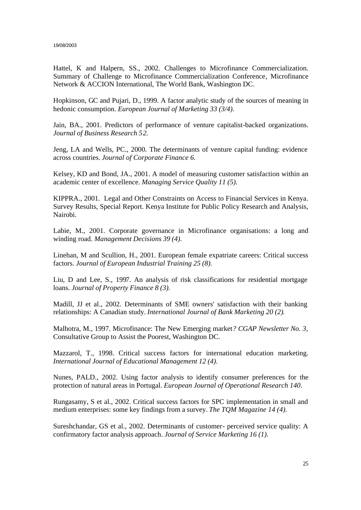Hattel, K and Halpern, SS., 2002. Challenges to Microfinance Commercialization. Summary of Challenge to Microfinance Commercialization Conference*,* Microfinance Network & ACCION International, The World Bank, Washington DC.

Hopkinson, GC and Pujari, D., 1999. A factor analytic study of the sources of meaning in hedonic consumption. *European Journal of Marketing 33 (3/4).*

Jain, BA., 2001. Predictors of performance of venture capitalist-backed organizations. *Journal of Business Research 52.*

Jeng, LA and Wells, PC., 2000. The determinants of venture capital funding: evidence across countries. *Journal of Corporate Finance 6.*

Kelsey, KD and Bond, JA., 2001. A model of measuring customer satisfaction within an academic center of excellence. *Managing Service Quality 11 (5).*

KIPPRA., 2001. Legal and Other Constraints on Access to Financial Services in Kenya. Survey Results, Special Report. Kenya Institute for Public Policy Research and Analysis, Nairobi.

Labie, M., 2001. Corporate governance in Microfinance organisations: a long and winding road. *Management Decisions 39 (4).*

Linehan, M and Scullion, H., 2001. European female expatriate careers: Critical success factors. *Journal of European Industrial Training 25 (8).*

Liu, D and Lee, S., 1997. An analysis of risk classifications for residential mortgage loans. *Journal of Property Finance 8 (3).*

Madill, JJ et al., 2002. Determinants of SME owners' satisfaction with their banking relationships: A Canadian study. *International Journal of Bank Marketing 20 (2)*.

Malhotra, M., 1997. Microfinance: The New Emerging market*? CGAP Newsletter No. 3,*  Consultative Group to Assist the Poorest, Washington DC.

Mazzarol, T., 1998. Critical success factors for international education marketing. *International Journal of Educational Management 12 (4).*

Nunes, PALD., 2002. Using factor analysis to identify consumer preferences for the protection of natural areas in Portugal. *European Journal of Operational Research 140*.

Rungasamy, S et al., 2002. Critical success factors for SPC implementation in small and medium enterprises: some key findings from a survey. *The TQM Magazine 14 (4).*

Sureshchandar, GS et al., 2002. Determinants of customer- perceived service quality: A confirmatory factor analysis approach. *Journal of Service Marketing 16 (1).*